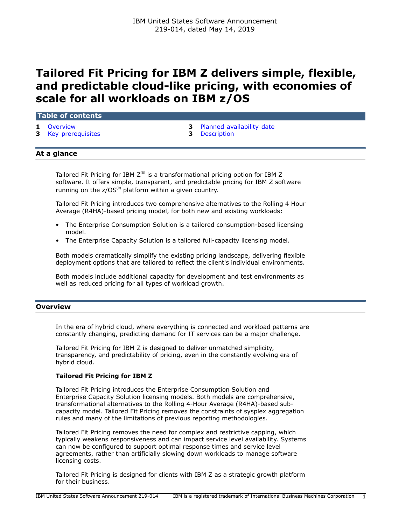# **Tailored Fit Pricing for IBM Z delivers simple, flexible, and predictable cloud-like pricing, with economies of scale for all workloads on IBM z/OS**

## **Table of contents**

- 
- **3** [Key prerequisites](#page-2-1) **3** [Description](#page-2-2)
- **1** [Overview](#page-0-0) **3** [Planned availability date](#page-2-0)
	-

## **At a glance**

Tailored Fit Pricing for IBM  $Z^{(R)}$  is a transformational pricing option for IBM Z software. It offers simple, transparent, and predictable pricing for IBM Z software running on the  $z/OS^{(R)}$  platform within a given country.

Tailored Fit Pricing introduces two comprehensive alternatives to the Rolling 4 Hour Average (R4HA)-based pricing model, for both new and existing workloads:

- The Enterprise Consumption Solution is a tailored consumption-based licensing model.
- The Enterprise Capacity Solution is a tailored full-capacity licensing model.

Both models dramatically simplify the existing pricing landscape, delivering flexible deployment options that are tailored to reflect the client's individual environments.

Both models include additional capacity for development and test environments as well as reduced pricing for all types of workload growth.

## <span id="page-0-0"></span>**Overview**

In the era of hybrid cloud, where everything is connected and workload patterns are constantly changing, predicting demand for IT services can be a major challenge.

Tailored Fit Pricing for IBM Z is designed to deliver unmatched simplicity, transparency, and predictability of pricing, even in the constantly evolving era of hybrid cloud.

## **Tailored Fit Pricing for IBM Z**

Tailored Fit Pricing introduces the Enterprise Consumption Solution and Enterprise Capacity Solution licensing models. Both models are comprehensive, transformational alternatives to the Rolling 4-Hour Average (R4HA)-based subcapacity model. Tailored Fit Pricing removes the constraints of sysplex aggregation rules and many of the limitations of previous reporting methodologies.

Tailored Fit Pricing removes the need for complex and restrictive capping, which typically weakens responsiveness and can impact service level availability. Systems can now be configured to support optimal response times and service level agreements, rather than artificially slowing down workloads to manage software licensing costs.

Tailored Fit Pricing is designed for clients with IBM Z as a strategic growth platform for their business.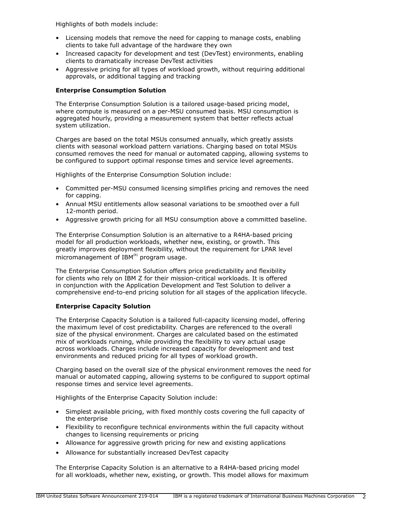Highlights of both models include:

- Licensing models that remove the need for capping to manage costs, enabling clients to take full advantage of the hardware they own
- Increased capacity for development and test (DevTest) environments, enabling clients to dramatically increase DevTest activities
- Aggressive pricing for all types of workload growth, without requiring additional approvals, or additional tagging and tracking

## **Enterprise Consumption Solution**

The Enterprise Consumption Solution is a tailored usage-based pricing model, where compute is measured on a per-MSU consumed basis. MSU consumption is aggregated hourly, providing a measurement system that better reflects actual system utilization.

Charges are based on the total MSUs consumed annually, which greatly assists clients with seasonal workload pattern variations. Charging based on total MSUs consumed removes the need for manual or automated capping, allowing systems to be configured to support optimal response times and service level agreements.

Highlights of the Enterprise Consumption Solution include:

- Committed per-MSU consumed licensing simplifies pricing and removes the need for capping.
- Annual MSU entitlements allow seasonal variations to be smoothed over a full 12-month period.
- Aggressive growth pricing for all MSU consumption above a committed baseline.

The Enterprise Consumption Solution is an alternative to a R4HA-based pricing model for all production workloads, whether new, existing, or growth. This greatly improves deployment flexibility, without the requirement for LPAR level micromanagement of  $IBM^{(R)}$  program usage.

The Enterprise Consumption Solution offers price predictability and flexibility for clients who rely on IBM Z for their mission-critical workloads. It is offered in conjunction with the Application Development and Test Solution to deliver a comprehensive end-to-end pricing solution for all stages of the application lifecycle.

## **Enterprise Capacity Solution**

The Enterprise Capacity Solution is a tailored full-capacity licensing model, offering the maximum level of cost predictability. Charges are referenced to the overall size of the physical environment. Charges are calculated based on the estimated mix of workloads running, while providing the flexibility to vary actual usage across workloads. Charges include increased capacity for development and test environments and reduced pricing for all types of workload growth.

Charging based on the overall size of the physical environment removes the need for manual or automated capping, allowing systems to be configured to support optimal response times and service level agreements.

Highlights of the Enterprise Capacity Solution include:

- Simplest available pricing, with fixed monthly costs covering the full capacity of the enterprise
- Flexibility to reconfigure technical environments within the full capacity without changes to licensing requirements or pricing
- Allowance for aggressive growth pricing for new and existing applications
- Allowance for substantially increased DevTest capacity

The Enterprise Capacity Solution is an alternative to a R4HA-based pricing model for all workloads, whether new, existing, or growth. This model allows for maximum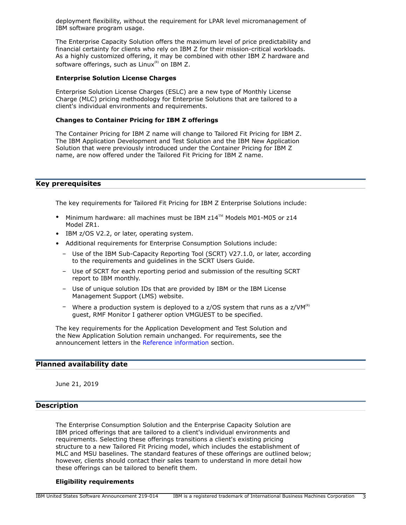deployment flexibility, without the requirement for LPAR level micromanagement of IBM software program usage.

The Enterprise Capacity Solution offers the maximum level of price predictability and financial certainty for clients who rely on IBM Z for their mission-critical workloads. As a highly customized offering, it may be combined with other IBM Z hardware and software offerings, such as  $Linux^{(R)}$  on IBM Z.

#### **Enterprise Solution License Charges**

Enterprise Solution License Charges (ESLC) are a new type of Monthly License Charge (MLC) pricing methodology for Enterprise Solutions that are tailored to a client's individual environments and requirements.

# **Changes to Container Pricing for IBM Z offerings**

The Container Pricing for IBM Z name will change to Tailored Fit Pricing for IBM Z. The IBM Application Development and Test Solution and the IBM New Application Solution that were previously introduced under the Container Pricing for IBM Z name, are now offered under the Tailored Fit Pricing for IBM Z name.

## <span id="page-2-1"></span>**Key prerequisites**

The key requirements for Tailored Fit Pricing for IBM Z Enterprise Solutions include:

- Minimum hardware: all machines must be IBM  $z14^{\text{TM}}$  Models M01-M05 or  $z14$ Model ZR1.
- IBM z/OS V2.2, or later, operating system.
- Additional requirements for Enterprise Consumption Solutions include:
	- Use of the IBM Sub-Capacity Reporting Tool (SCRT) V27.1.0, or later, according to the requirements and guidelines in the SCRT Users Guide.
	- Use of SCRT for each reporting period and submission of the resulting SCRT report to IBM monthly.
	- Use of unique solution IDs that are provided by IBM or the IBM License Management Support (LMS) website.
	- Where a production system is deployed to a z/OS system that runs as a z/VM<sup>(R)</sup> guest, RMF Monitor I gatherer option VMGUEST to be specified.

The key requirements for the Application Development and Test Solution and the New Application Solution remain unchanged. For requirements, see the announcement letters in the [Reference information](#page-6-0) section.

## <span id="page-2-0"></span>**Planned availability date**

June 21, 2019

# <span id="page-2-2"></span>**Description**

The Enterprise Consumption Solution and the Enterprise Capacity Solution are IBM priced offerings that are tailored to a client's individual environments and requirements. Selecting these offerings transitions a client's existing pricing structure to a new Tailored Fit Pricing model, which includes the establishment of MLC and MSU baselines. The standard features of these offerings are outlined below; however, clients should contact their sales team to understand in more detail how these offerings can be tailored to benefit them.

#### **Eligibility requirements**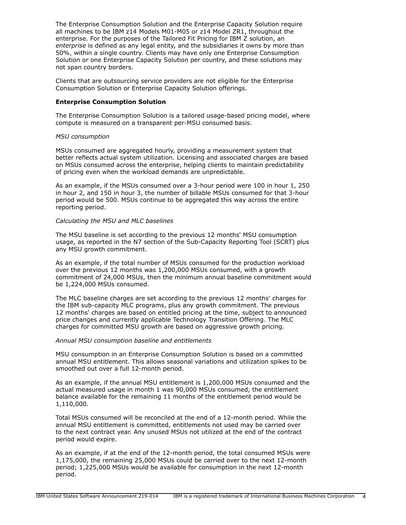The Enterprise Consumption Solution and the Enterprise Capacity Solution require all machines to be IBM z14 Models M01-M05 or z14 Model ZR1, throughout the enterprise. For the purposes of the Tailored Fit Pricing for IBM Z solution, an *enterprise* is defined as any legal entity, and the subsidiaries it owns by more than 50%, within a single country. Clients may have only one Enterprise Consumption Solution or one Enterprise Capacity Solution per country, and these solutions may not span country borders.

Clients that are outsourcing service providers are not eligible for the Enterprise Consumption Solution or Enterprise Capacity Solution offerings.

## **Enterprise Consumption Solution**

The Enterprise Consumption Solution is a tailored usage-based pricing model, where compute is measured on a transparent per-MSU consumed basis.

#### *MSU consumption*

MSUs consumed are aggregated hourly, providing a measurement system that better reflects actual system utilization. Licensing and associated charges are based on MSUs consumed across the enterprise, helping clients to maintain predictability of pricing even when the workload demands are unpredictable.

As an example, if the MSUs consumed over a 3-hour period were 100 in hour 1, 250 in hour 2, and 150 in hour 3, the number of billable MSUs consumed for that 3-hour period would be 500. MSUs continue to be aggregated this way across the entire reporting period.

#### *Calculating the MSU and MLC baselines*

The MSU baseline is set according to the previous 12 months' MSU consumption usage, as reported in the N7 section of the Sub-Capacity Reporting Tool (SCRT) plus any MSU growth commitment.

As an example, if the total number of MSUs consumed for the production workload over the previous 12 months was 1,200,000 MSUs consumed, with a growth commitment of 24,000 MSUs, then the minimum annual baseline commitment would be 1,224,000 MSUs consumed.

The MLC baseline charges are set according to the previous 12 months' charges for the IBM sub-capacity MLC programs, plus any growth commitment. The previous 12 months' charges are based on entitled pricing at the time, subject to announced price changes and currently applicable Technology Transition Offering. The MLC charges for committed MSU growth are based on aggressive growth pricing.

## *Annual MSU consumption baseline and entitlements*

MSU consumption in an Enterprise Consumption Solution is based on a committed annual MSU entitlement. This allows seasonal variations and utilization spikes to be smoothed out over a full 12-month period.

As an example, if the annual MSU entitlement is 1,200,000 MSUs consumed and the actual measured usage in month 1 was 90,000 MSUs consumed, the entitlement balance available for the remaining 11 months of the entitlement period would be 1,110,000.

Total MSUs consumed will be reconciled at the end of a 12-month period. While the annual MSU entitlement is committed, entitlements not used may be carried over to the next contract year. Any unused MSUs not utilized at the end of the contract period would expire.

As an example, if at the end of the 12-month period, the total consumed MSUs were 1,175,000, the remaining 25,000 MSUs could be carried over to the next 12-month period; 1,225,000 MSUs would be available for consumption in the next 12-month period.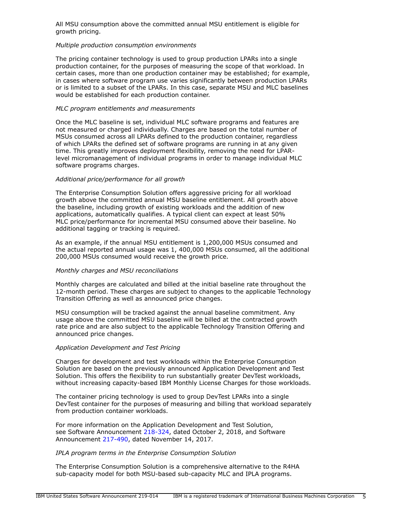All MSU consumption above the committed annual MSU entitlement is eligible for growth pricing.

## *Multiple production consumption environments*

The pricing container technology is used to group production LPARs into a single production container, for the purposes of measuring the scope of that workload. In certain cases, more than one production container may be established; for example, in cases where software program use varies significantly between production LPARs or is limited to a subset of the LPARs. In this case, separate MSU and MLC baselines would be established for each production container.

## *MLC program entitlements and measurements*

Once the MLC baseline is set, individual MLC software programs and features are not measured or charged individually. Charges are based on the total number of MSUs consumed across all LPARs defined to the production container, regardless of which LPARs the defined set of software programs are running in at any given time. This greatly improves deployment flexibility, removing the need for LPARlevel micromanagement of individual programs in order to manage individual MLC software programs charges.

## *Additional price/performance for all growth*

The Enterprise Consumption Solution offers aggressive pricing for all workload growth above the committed annual MSU baseline entitlement. All growth above the baseline, including growth of existing workloads and the addition of new applications, automatically qualifies. A typical client can expect at least 50% MLC price/performance for incremental MSU consumed above their baseline. No additional tagging or tracking is required.

As an example, if the annual MSU entitlement is 1,200,000 MSUs consumed and the actual reported annual usage was 1, 400,000 MSUs consumed, all the additional 200,000 MSUs consumed would receive the growth price.

## *Monthly charges and MSU reconciliations*

Monthly charges are calculated and billed at the initial baseline rate throughout the 12-month period. These charges are subject to changes to the applicable Technology Transition Offering as well as announced price changes.

MSU consumption will be tracked against the annual baseline commitment. Any usage above the committed MSU baseline will be billed at the contracted growth rate price and are also subject to the applicable Technology Transition Offering and announced price changes.

## *Application Development and Test Pricing*

Charges for development and test workloads within the Enterprise Consumption Solution are based on the previously announced Application Development and Test Solution. This offers the flexibility to run substantially greater DevTest workloads, without increasing capacity-based IBM Monthly License Charges for those workloads.

The container pricing technology is used to group DevTest LPARs into a single DevTest container for the purposes of measuring and billing that workload separately from production container workloads.

For more information on the Application Development and Test Solution, see Software Announcement [218-324](http://www.ibm.com/common/ssi/cgi-bin/ssialias?infotype=an&subtype=ca&appname=gpateam&supplier=897&letternum=ENUS218-324), dated October 2, 2018, and Software Announcement [217-490](http://www.ibm.com/common/ssi/cgi-bin/ssialias?infotype=an&subtype=ca&appname=gpateam&supplier=897&letternum=ENUS217-490), dated November 14, 2017.

## *IPLA program terms in the Enterprise Consumption Solution*

The Enterprise Consumption Solution is a comprehensive alternative to the R4HA sub-capacity model for both MSU-based sub-capacity MLC and IPLA programs.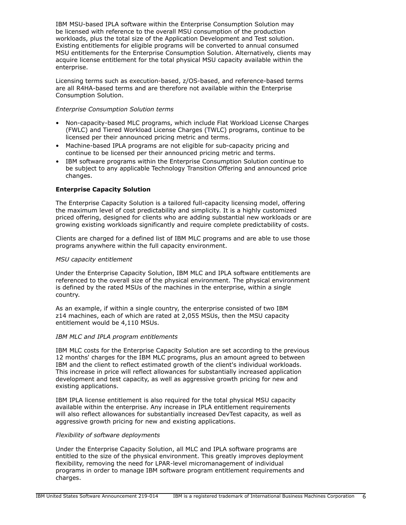IBM MSU-based IPLA software within the Enterprise Consumption Solution may be licensed with reference to the overall MSU consumption of the production workloads, plus the total size of the Application Development and Test solution. Existing entitlements for eligible programs will be converted to annual consumed MSU entitlements for the Enterprise Consumption Solution. Alternatively, clients may acquire license entitlement for the total physical MSU capacity available within the enterprise.

Licensing terms such as execution-based, z/OS-based, and reference-based terms are all R4HA-based terms and are therefore not available within the Enterprise Consumption Solution.

## *Enterprise Consumption Solution terms*

- Non-capacity-based MLC programs, which include Flat Workload License Charges (FWLC) and Tiered Workload License Charges (TWLC) programs, continue to be licensed per their announced pricing metric and terms.
- Machine-based IPLA programs are not eligible for sub-capacity pricing and continue to be licensed per their announced pricing metric and terms.
- IBM software programs within the Enterprise Consumption Solution continue to be subject to any applicable Technology Transition Offering and announced price changes.

## **Enterprise Capacity Solution**

The Enterprise Capacity Solution is a tailored full-capacity licensing model, offering the maximum level of cost predictability and simplicity. It is a highly customized priced offering, designed for clients who are adding substantial new workloads or are growing existing workloads significantly and require complete predictability of costs.

Clients are charged for a defined list of IBM MLC programs and are able to use those programs anywhere within the full capacity environment.

## *MSU capacity entitlement*

Under the Enterprise Capacity Solution, IBM MLC and IPLA software entitlements are referenced to the overall size of the physical environment. The physical environment is defined by the rated MSUs of the machines in the enterprise, within a single country.

As an example, if within a single country, the enterprise consisted of two IBM z14 machines, each of which are rated at 2,055 MSUs, then the MSU capacity entitlement would be 4,110 MSUs.

## *IBM MLC and IPLA program entitlements*

IBM MLC costs for the Enterprise Capacity Solution are set according to the previous 12 months' charges for the IBM MLC programs, plus an amount agreed to between IBM and the client to reflect estimated growth of the client's individual workloads. This increase in price will reflect allowances for substantially increased application development and test capacity, as well as aggressive growth pricing for new and existing applications.

IBM IPLA license entitlement is also required for the total physical MSU capacity available within the enterprise. Any increase in IPLA entitlement requirements will also reflect allowances for substantially increased DevTest capacity, as well as aggressive growth pricing for new and existing applications.

## *Flexibility of software deployments*

Under the Enterprise Capacity Solution, all MLC and IPLA software programs are entitled to the size of the physical environment. This greatly improves deployment flexibility, removing the need for LPAR-level micromanagement of individual programs in order to manage IBM software program entitlement requirements and charges.